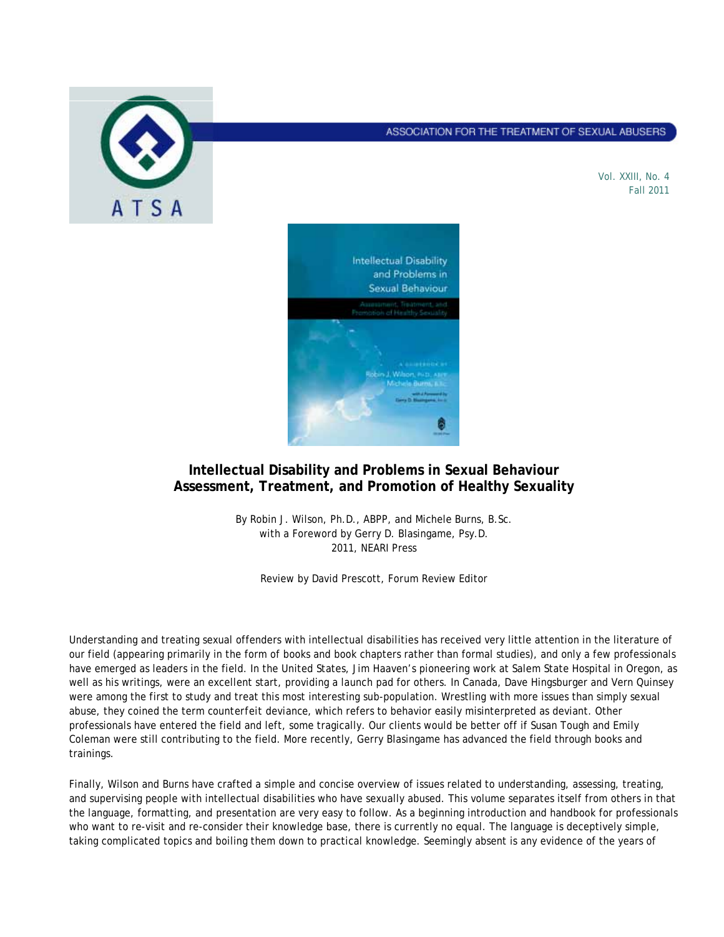

## ASSOCIATION FOR THE TREATMENT OF SEXUAL ABUSERS

Vol. XXIII, No. 4 Fall 2011



## **Intellectual Disability and Problems in Sexual Behaviour Assessment, Treatment, and Promotion of Healthy Sexuality**

By Robin J. Wilson, Ph.D., ABPP, and Michele Burns, B.Sc. with a Foreword by Gerry D. Blasingame, Psy.D. 2011, NEARI Press

Review by David Prescott, *Forum* Review Editor

Understanding and treating sexual offenders with intellectual disabilities has received very little attention in the literature of our field (appearing primarily in the form of books and book chapters rather than formal studies), and only a few professionals have emerged as leaders in the field. In the United States, Jim Haaven's pioneering work at Salem State Hospital in Oregon, as well as his writings, were an excellent start, providing a launch pad for others. In Canada, Dave Hingsburger and Vern Quinsey were among the first to study and treat this most interesting sub-population. Wrestling with more issues than simply sexual abuse, they coined the term *counterfeit deviance,* which refers to behavior easily misinterpreted as deviant. Other professionals have entered the field and left, some tragically. Our clients would be better off if Susan Tough and Emily Coleman were still contributing to the field. More recently, Gerry Blasingame has advanced the field through books and trainings.

Finally, Wilson and Burns have crafted a simple and concise overview of issues related to understanding, assessing, treating, and supervising people with intellectual disabilities who have sexually abused. This volume separates itself from others in that the language, formatting, and presentation are very easy to follow. As a beginning introduction and handbook for professionals who want to re-visit and re-consider their knowledge base, there is currently no equal. The language is deceptively simple, taking complicated topics and boiling them down to practical knowledge. Seemingly absent is any evidence of the years of